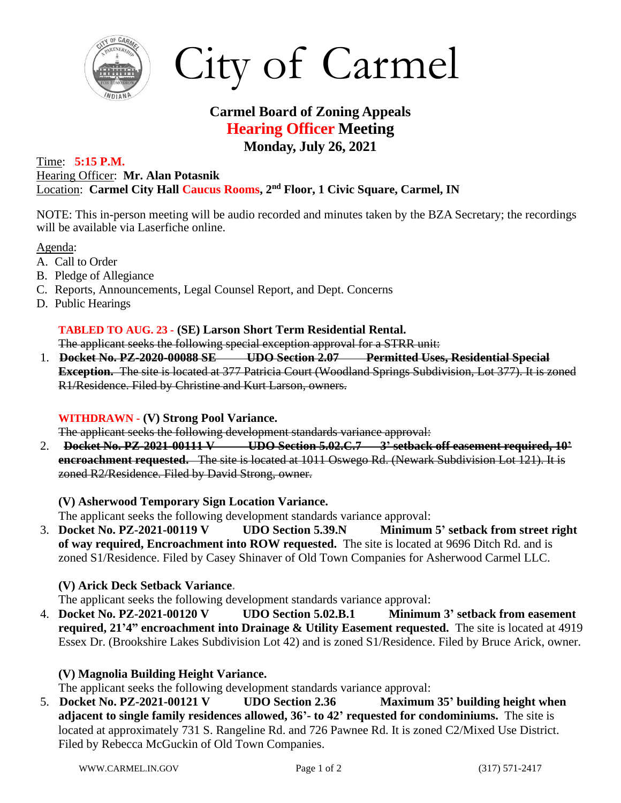

City of Carmel

# **Carmel Board of Zoning Appeals Hearing Officer Meeting Monday, July 26, 2021**

#### Time: **5:15 P.M.** Hearing Officer: **Mr. Alan Potasnik** Location: **Carmel City Hall Caucus Rooms, 2 nd Floor, 1 Civic Square, Carmel, IN**

NOTE: This in-person meeting will be audio recorded and minutes taken by the BZA Secretary; the recordings will be available via Laserfiche online.

Agenda:

- A. Call to Order
- B. Pledge of Allegiance
- C. Reports, Announcements, Legal Counsel Report, and Dept. Concerns
- D. Public Hearings

# **TABLED TO AUG. 23 - (SE) Larson Short Term Residential Rental.**

The applicant seeks the following special exception approval for a STRR unit:

1. **Docket No. PZ-2020-00088 SE UDO Section 2.07 Permitted Uses, Residential Special Exception.** The site is located at 377 Patricia Court (Woodland Springs Subdivision, Lot 377). It is zoned R1/Residence. Filed by Christine and Kurt Larson, owners.

#### **WITHDRAWN - (V) Strong Pool Variance.**

The applicant seeks the following development standards variance approval:

2. **Docket No. PZ-2021-00111 V UDO Section 5.02.C.7 3' setback off easement required, 10' encroachment requested.** The site is located at 1011 Oswego Rd. (Newark Subdivision Lot 121). It is zoned R2/Residence. Filed by David Strong, owner.

**(V) Asherwood Temporary Sign Location Variance.**

- The applicant seeks the following development standards variance approval:
- 3. **Docket No. PZ-2021-00119 V UDO Section 5.39.N Minimum 5' setback from street right of way required, Encroachment into ROW requested.** The site is located at 9696 Ditch Rd. and is zoned S1/Residence. Filed by Casey Shinaver of Old Town Companies for Asherwood Carmel LLC.

## **(V) Arick Deck Setback Variance.**

- The applicant seeks the following development standards variance approval:
- 4. **Docket No. PZ-2021-00120 V UDO Section 5.02.B.1 Minimum 3' setback from easement required, 21'4" encroachment into Drainage & Utility Easement requested.** The site is located at 4919 Essex Dr. (Brookshire Lakes Subdivision Lot 42) and is zoned S1/Residence. Filed by Bruce Arick, owner.

## **(V) Magnolia Building Height Variance.**

The applicant seeks the following development standards variance approval:

5. **Docket No. PZ-2021-00121 V UDO Section 2.36 Maximum 35' building height when adjacent to single family residences allowed, 36'- to 42' requested for condominiums.** The site is located at approximately 731 S. Rangeline Rd. and 726 Pawnee Rd. It is zoned C2/Mixed Use District. Filed by Rebecca McGuckin of Old Town Companies.